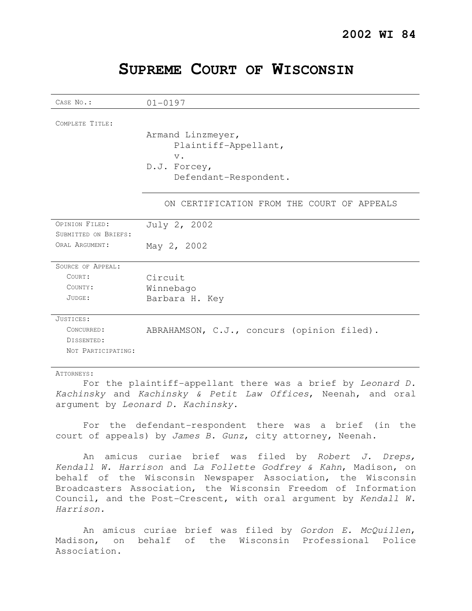| CASE No.:            | $01 - 0197$                                        |
|----------------------|----------------------------------------------------|
| COMPLETE TITLE:      |                                                    |
|                      | Armand Linzmeyer,<br>Plaintiff-Appellant,<br>$V$ . |
|                      | D.J. Forcey,<br>Defendant-Respondent.              |
|                      | ON CERTIFICATION FROM THE COURT OF APPEALS         |
| OPINION FILED:       | July 2, 2002                                       |
| SUBMITTED ON BRIEFS: |                                                    |
| ORAL ARGUMENT:       | May 2, 2002                                        |
| SOURCE OF APPEAL:    |                                                    |
| COURT:               | Circuit                                            |
| COUNTY:              | Winnebago                                          |
| JUDGE:               | Barbara H. Key                                     |
| JUSTICES:            |                                                    |
| CONCURRED:           | ABRAHAMSON, C.J., concurs (opinion filed).         |
| DISSENTED:           |                                                    |
| NOT PARTICIPATING:   |                                                    |

# **SUPREME COURT OF WISCONSIN**

ATTORNEYS:

For the plaintiff-appellant there was a brief by Leonard D. Kachinsky and Kachinsky & Petit Law Offices, Neenah, and oral argument by Leonard D. Kachinsky.

For the defendant-respondent there was a brief (in the court of appeals) by James B. Gunz, city attorney, Neenah.

An amicus curiae brief was filed by Robert  $J.$  Dreps, Kendall W. Harrison and La Follette Godfrey & Kahn, Madison, on behalf of the Wisconsin Newspaper Association, the Wisconsin Broadcasters Association, the Wisconsin Freedom of Information Council, and the Post-Crescent, with oral argument by Kendall W. Harrison.

An amicus curiae brief was filed by Gordon E. McQuillen, Madison, on behalf of the Wisconsin Professional Police Association.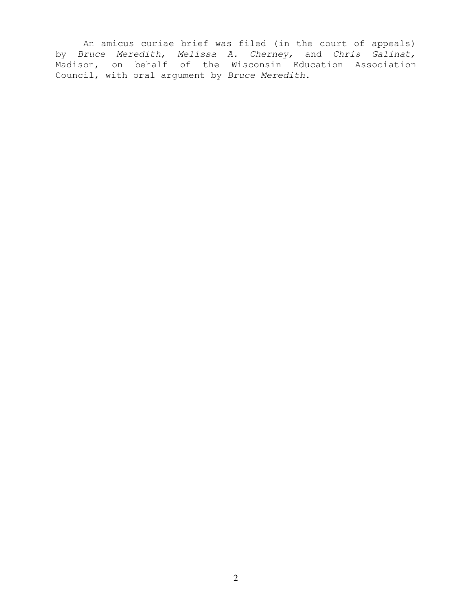An amicus curiae brief was filed (in the court of appeals) by Bruce Meredith, Melissa A. Cherney, and Chris Galinat, Madison, on behalf of the Wisconsin Education Association Council, with oral argument by Bruce Meredith.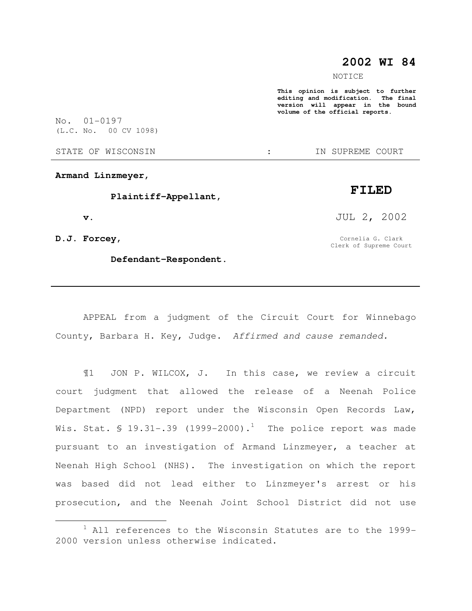## **2002 WI 84**

NOTICE

**This opinion is subject to further editing and modification. The final version will appear in the bound volume of the official reports.** 

No. 01-0197 (L.C. No. 00 CV 1098)

STATE OF WISCONSIN  $\cdot$  : IN SUPREME COURT

**Armand Linzmeyer,** 

 **Plaintiff-Appellant,** 

 **v.** 

**D.J. Forcey,** 

 $\overline{a}$ 

 **Defendant-Respondent.** 

JUL 2, 2002

**FILED** 

Cornelia G. Clark Clerk of Supreme Court

APPEAL from a judgment of the Circuit Court for Winnebago County, Barbara H. Key, Judge. Affirmed and cause remanded.

¶1 JON P. WILCOX, J. In this case, we review a circuit court judgment that allowed the release of a Neenah Police Department (NPD) report under the Wisconsin Open Records Law, Wis. Stat. § 19.31-.39 (1999-2000).<sup>1</sup> The police report was made pursuant to an investigation of Armand Linzmeyer, a teacher at Neenah High School (NHS). The investigation on which the report was based did not lead either to Linzmeyer's arrest or his prosecution, and the Neenah Joint School District did not use

 $1$  All references to the Wisconsin Statutes are to the 1999-2000 version unless otherwise indicated.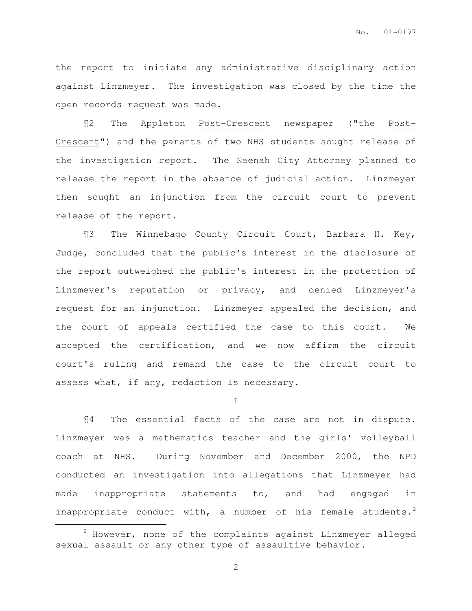the report to initiate any administrative disciplinary action against Linzmeyer. The investigation was closed by the time the open records request was made.

¶2 The Appleton Post-Crescent newspaper ("the Post-Crescent") and the parents of two NHS students sought release of the investigation report. The Neenah City Attorney planned to release the report in the absence of judicial action. Linzmeyer then sought an injunction from the circuit court to prevent release of the report.

¶3 The Winnebago County Circuit Court, Barbara H. Key, Judge, concluded that the public's interest in the disclosure of the report outweighed the public's interest in the protection of Linzmeyer's reputation or privacy, and denied Linzmeyer's request for an injunction. Linzmeyer appealed the decision, and the court of appeals certified the case to this court. We accepted the certification, and we now affirm the circuit court's ruling and remand the case to the circuit court to assess what, if any, redaction is necessary.

I

¶4 The essential facts of the case are not in dispute. Linzmeyer was a mathematics teacher and the girls' volleyball coach at NHS. During November and December 2000, the NPD conducted an investigation into allegations that Linzmeyer had made inappropriate statements to, and had engaged in inappropriate conduct with, a number of his female students.<sup>2</sup>  $\overline{a}$ 

 $2$  However, none of the complaints against Linzmeyer alleged sexual assault or any other type of assaultive behavior.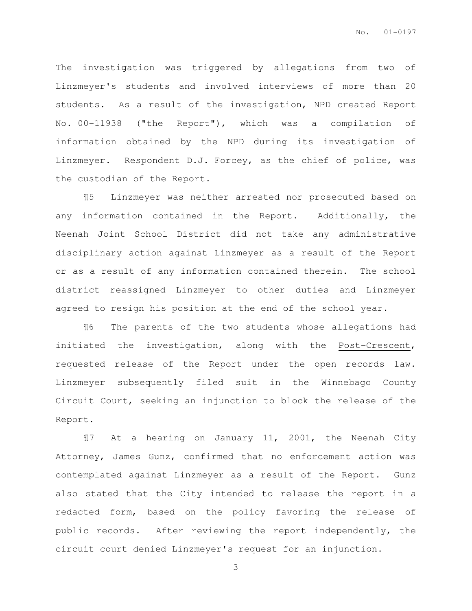The investigation was triggered by allegations from two of Linzmeyer's students and involved interviews of more than 20 students. As a result of the investigation, NPD created Report No. 00-11938 ("the Report"), which was a compilation of information obtained by the NPD during its investigation of Linzmeyer. Respondent D.J. Forcey, as the chief of police, was the custodian of the Report.

¶5 Linzmeyer was neither arrested nor prosecuted based on any information contained in the Report. Additionally, the Neenah Joint School District did not take any administrative disciplinary action against Linzmeyer as a result of the Report or as a result of any information contained therein. The school district reassigned Linzmeyer to other duties and Linzmeyer agreed to resign his position at the end of the school year.

¶6 The parents of the two students whose allegations had initiated the investigation, along with the Post-Crescent, requested release of the Report under the open records law. Linzmeyer subsequently filed suit in the Winnebago County Circuit Court, seeking an injunction to block the release of the Report.

¶7 At a hearing on January 11, 2001, the Neenah City Attorney, James Gunz, confirmed that no enforcement action was contemplated against Linzmeyer as a result of the Report. Gunz also stated that the City intended to release the report in a redacted form, based on the policy favoring the release of public records. After reviewing the report independently, the circuit court denied Linzmeyer's request for an injunction.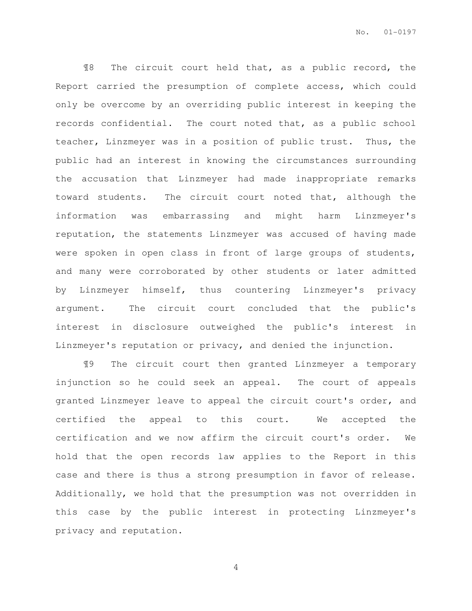¶8 The circuit court held that, as a public record, the Report carried the presumption of complete access, which could only be overcome by an overriding public interest in keeping the records confidential. The court noted that, as a public school teacher, Linzmeyer was in a position of public trust. Thus, the public had an interest in knowing the circumstances surrounding the accusation that Linzmeyer had made inappropriate remarks toward students. The circuit court noted that, although the information was embarrassing and might harm Linzmeyer's reputation, the statements Linzmeyer was accused of having made were spoken in open class in front of large groups of students, and many were corroborated by other students or later admitted by Linzmeyer himself, thus countering Linzmeyer's privacy argument. The circuit court concluded that the public's interest in disclosure outweighed the public's interest in Linzmeyer's reputation or privacy, and denied the injunction.

¶9 The circuit court then granted Linzmeyer a temporary injunction so he could seek an appeal. The court of appeals granted Linzmeyer leave to appeal the circuit court's order, and certified the appeal to this court. We accepted the certification and we now affirm the circuit court's order. We hold that the open records law applies to the Report in this case and there is thus a strong presumption in favor of release. Additionally, we hold that the presumption was not overridden in this case by the public interest in protecting Linzmeyer's privacy and reputation.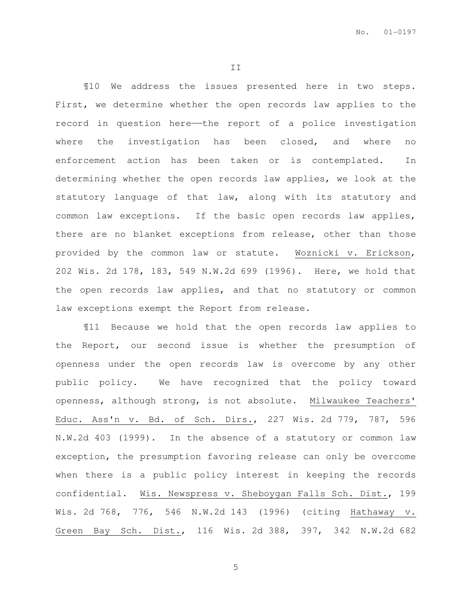II

¶10 We address the issues presented here in two steps. First, we determine whether the open records law applies to the record in question here—the report of a police investigation where the investigation has been closed, and where no enforcement action has been taken or is contemplated. In determining whether the open records law applies, we look at the statutory language of that law, along with its statutory and common law exceptions. If the basic open records law applies, there are no blanket exceptions from release, other than those provided by the common law or statute. Woznicki v. Erickson, 202 Wis. 2d 178, 183, 549 N.W.2d 699 (1996). Here, we hold that the open records law applies, and that no statutory or common law exceptions exempt the Report from release.

¶11 Because we hold that the open records law applies to the Report, our second issue is whether the presumption of openness under the open records law is overcome by any other public policy. We have recognized that the policy toward openness, although strong, is not absolute. Milwaukee Teachers' Educ. Ass'n v. Bd. of Sch. Dirs., 227 Wis. 2d 779, 787, 596 N.W.2d 403 (1999). In the absence of a statutory or common law exception, the presumption favoring release can only be overcome when there is a public policy interest in keeping the records confidential. Wis. Newspress v. Sheboygan Falls Sch. Dist., 199 Wis. 2d 768, 776, 546 N.W.2d 143 (1996) (citing Hathaway v. Green Bay Sch. Dist., 116 Wis. 2d 388, 397, 342 N.W.2d 682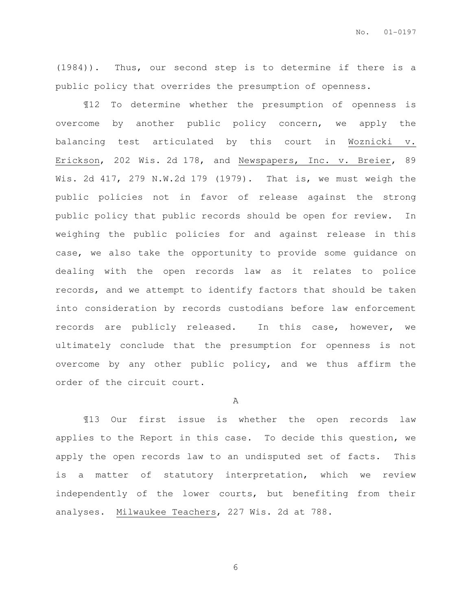(1984)). Thus, our second step is to determine if there is a public policy that overrides the presumption of openness.

¶12 To determine whether the presumption of openness is overcome by another public policy concern, we apply the balancing test articulated by this court in Woznicki v. Erickson, 202 Wis. 2d 178, and Newspapers, Inc. v. Breier, 89 Wis. 2d 417, 279 N.W.2d 179 (1979). That is, we must weigh the public policies not in favor of release against the strong public policy that public records should be open for review. In weighing the public policies for and against release in this case, we also take the opportunity to provide some guidance on dealing with the open records law as it relates to police records, and we attempt to identify factors that should be taken into consideration by records custodians before law enforcement records are publicly released. In this case, however, we ultimately conclude that the presumption for openness is not overcome by any other public policy, and we thus affirm the order of the circuit court.

A

¶13 Our first issue is whether the open records law applies to the Report in this case. To decide this question, we apply the open records law to an undisputed set of facts. This is a matter of statutory interpretation, which we review independently of the lower courts, but benefiting from their analyses. Milwaukee Teachers, 227 Wis. 2d at 788.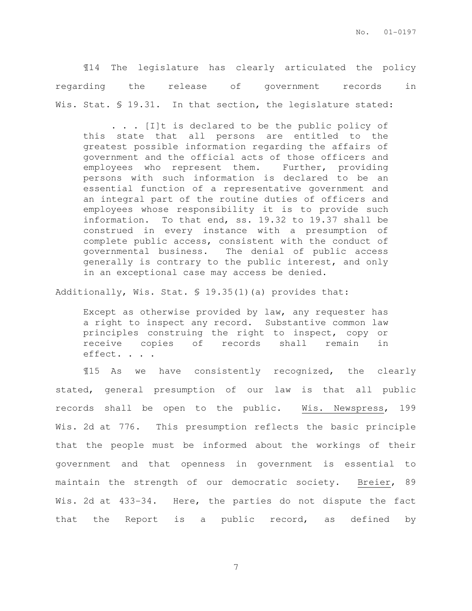¶14 The legislature has clearly articulated the policy regarding the release of government records in Wis. Stat. § 19.31. In that section, the legislature stated:

. . . [I]t is declared to be the public policy of this state that all persons are entitled to the greatest possible information regarding the affairs of government and the official acts of those officers and employees who represent them. Further, providing persons with such information is declared to be an essential function of a representative government and an integral part of the routine duties of officers and employees whose responsibility it is to provide such information. To that end, ss. 19.32 to 19.37 shall be construed in every instance with a presumption of complete public access, consistent with the conduct of governmental business. The denial of public access generally is contrary to the public interest, and only in an exceptional case may access be denied.

Additionally, Wis. Stat. § 19.35(1)(a) provides that:

Except as otherwise provided by law, any requester has a right to inspect any record. Substantive common law principles construing the right to inspect, copy or receive copies of records shall remain in effect. . . .

¶15 As we have consistently recognized, the clearly stated, general presumption of our law is that all public records shall be open to the public. Wis. Newspress, 199 Wis. 2d at 776. This presumption reflects the basic principle that the people must be informed about the workings of their government and that openness in government is essential to maintain the strength of our democratic society. Breier, 89 Wis. 2d at 433-34. Here, the parties do not dispute the fact that the Report is a public record, as defined by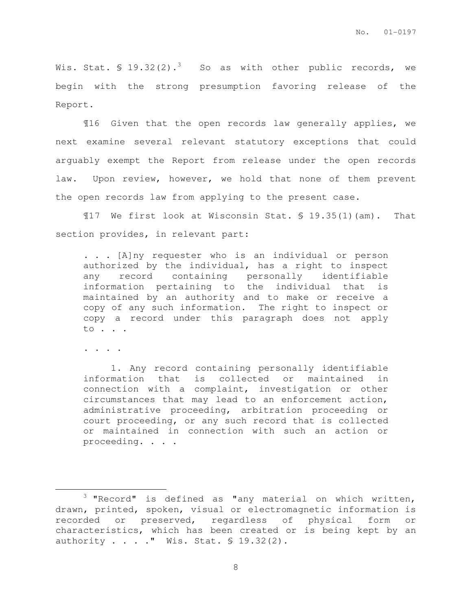Wis. Stat.  $\frac{19.32(2).^{3}}{80}$  So as with other public records, we begin with the strong presumption favoring release of the Report.

¶16 Given that the open records law generally applies, we next examine several relevant statutory exceptions that could arguably exempt the Report from release under the open records law. Upon review, however, we hold that none of them prevent the open records law from applying to the present case.

¶17 We first look at Wisconsin Stat. § 19.35(1)(am). That section provides, in relevant part:

. . . [A]ny requester who is an individual or person authorized by the individual, has a right to inspect any record containing personally identifiable information pertaining to the individual that is maintained by an authority and to make or receive a copy of any such information. The right to inspect or copy a record under this paragraph does not apply to . . .

. . . .

 $\overline{a}$ 

1. Any record containing personally identifiable information that is collected or maintained in connection with a complaint, investigation or other circumstances that may lead to an enforcement action, administrative proceeding, arbitration proceeding or court proceeding, or any such record that is collected or maintained in connection with such an action or proceeding. . . .

 $3$  "Record" is defined as "any material on which written, drawn, printed, spoken, visual or electromagnetic information is recorded or preserved, regardless of physical form or characteristics, which has been created or is being kept by an authority . . . ." Wis. Stat. § 19.32(2).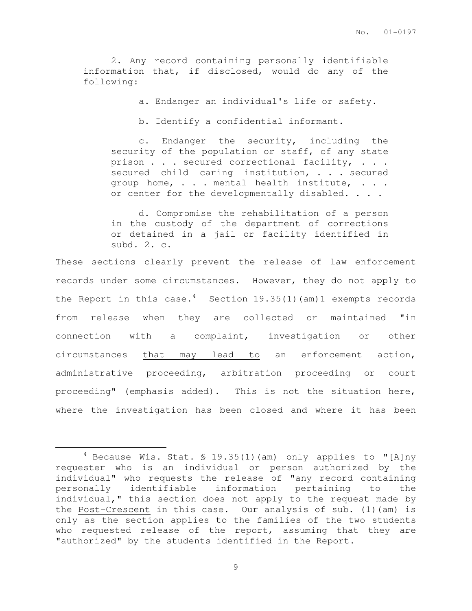2. Any record containing personally identifiable information that, if disclosed, would do any of the following:

a. Endanger an individual's life or safety.

b. Identify a confidential informant.

c. Endanger the security, including the security of the population or staff, of any state prison . . . secured correctional facility, . . . secured child caring institution, . . . secured group home, . . . mental health institute, . . . or center for the developmentally disabled. . . .

d. Compromise the rehabilitation of a person in the custody of the department of corrections or detained in a jail or facility identified in subd. 2. c.

These sections clearly prevent the release of law enforcement records under some circumstances. However, they do not apply to the Report in this case.<sup>4</sup> Section 19.35(1)(am)1 exempts records from release when they are collected or maintained "in connection with a complaint, investigation or other circumstances that may lead to an enforcement action, administrative proceeding, arbitration proceeding or court proceeding" (emphasis added). This is not the situation here, where the investigation has been closed and where it has been

 $\overline{a}$ 

<sup>4</sup> Because Wis. Stat. § 19.35(1)(am) only applies to "[A]ny requester who is an individual or person authorized by the individual" who requests the release of "any record containing personally identifiable information pertaining to the individual," this section does not apply to the request made by the Post-Crescent in this case. Our analysis of sub. (1)(am) is only as the section applies to the families of the two students who requested release of the report, assuming that they are "authorized" by the students identified in the Report.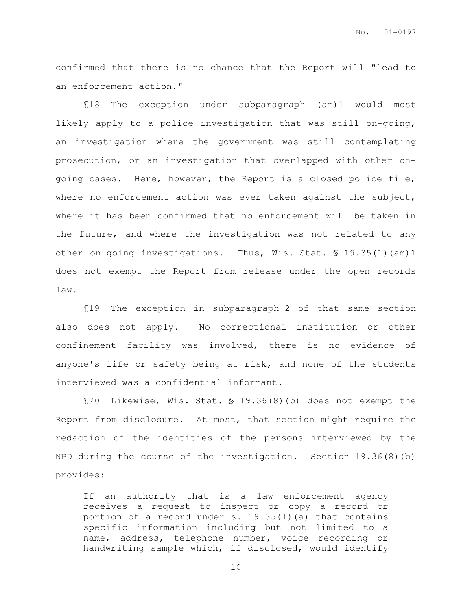confirmed that there is no chance that the Report will "lead to an enforcement action."

¶18 The exception under subparagraph (am)1 would most likely apply to a police investigation that was still on-going, an investigation where the government was still contemplating prosecution, or an investigation that overlapped with other ongoing cases. Here, however, the Report is a closed police file, where no enforcement action was ever taken against the subject, where it has been confirmed that no enforcement will be taken in the future, and where the investigation was not related to any other on-going investigations. Thus, Wis. Stat. § 19.35(1)(am)1 does not exempt the Report from release under the open records law.

¶19 The exception in subparagraph 2 of that same section also does not apply. No correctional institution or other confinement facility was involved, there is no evidence of anyone's life or safety being at risk, and none of the students interviewed was a confidential informant.

¶20 Likewise, Wis. Stat. § 19.36(8)(b) does not exempt the Report from disclosure. At most, that section might require the redaction of the identities of the persons interviewed by the NPD during the course of the investigation. Section 19.36(8)(b) provides:

If an authority that is a law enforcement agency receives a request to inspect or copy a record or portion of a record under s.  $19.35(1)(a)$  that contains specific information including but not limited to a name, address, telephone number, voice recording or handwriting sample which, if disclosed, would identify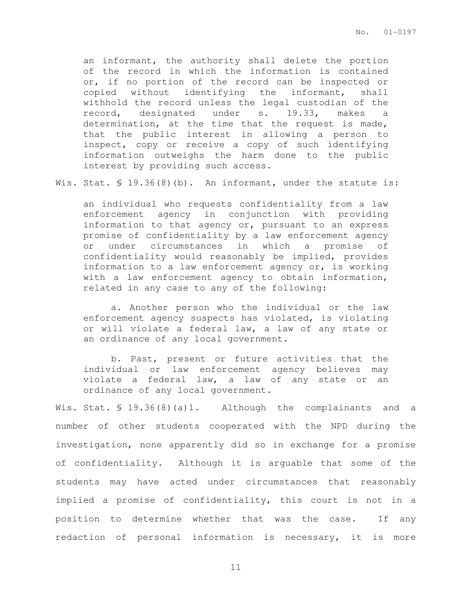an informant, the authority shall delete the portion of the record in which the information is contained or, if no portion of the record can be inspected or copied without identifying the informant, shall withhold the record unless the legal custodian of the record, designated under s. 19.33, makes a determination, at the time that the request is made, that the public interest in allowing a person to inspect, copy or receive a copy of such identifying information outweighs the harm done to the public interest by providing such access.

Wis. Stat. § 19.36(8)(b). An informant, under the statute is:

an individual who requests confidentiality from a law enforcement agency in conjunction with providing information to that agency or, pursuant to an express promise of confidentiality by a law enforcement agency or under circumstances in which a promise of confidentiality would reasonably be implied, provides information to a law enforcement agency or, is working with a law enforcement agency to obtain information, related in any case to any of the following:

a. Another person who the individual or the law enforcement agency suspects has violated, is violating or will violate a federal law, a law of any state or an ordinance of any local government.

b. Past, present or future activities that the individual or law enforcement agency believes may violate a federal law, a law of any state or an ordinance of any local government.

Wis. Stat. § 19.36(8)(a)1. Although the complainants and a number of other students cooperated with the NPD during the investigation, none apparently did so in exchange for a promise of confidentiality. Although it is arguable that some of the students may have acted under circumstances that reasonably implied a promise of confidentiality, this court is not in a position to determine whether that was the case. If any redaction of personal information is necessary, it is more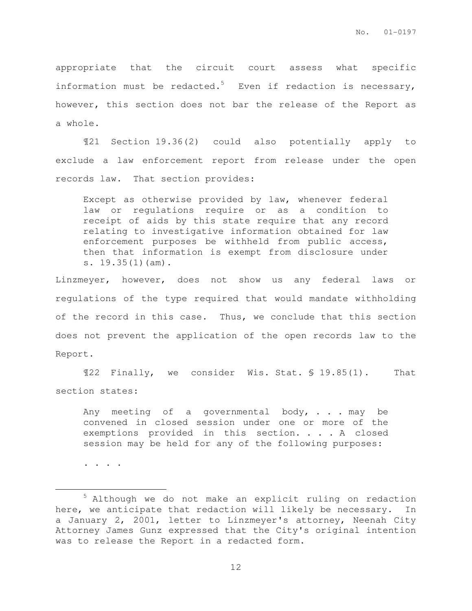appropriate that the circuit court assess what specific information must be redacted.<sup>5</sup> Even if redaction is necessary, however, this section does not bar the release of the Report as a whole.

¶21 Section 19.36(2) could also potentially apply to exclude a law enforcement report from release under the open records law. That section provides:

Except as otherwise provided by law, whenever federal law or regulations require or as a condition to receipt of aids by this state require that any record relating to investigative information obtained for law enforcement purposes be withheld from public access, then that information is exempt from disclosure under s. 19.35(1)(am).

Linzmeyer, however, does not show us any federal laws or regulations of the type required that would mandate withholding of the record in this case. Thus, we conclude that this section does not prevent the application of the open records law to the Report.

¶22 Finally, we consider Wis. Stat. § 19.85(1). That section states:

Any meeting of a governmental body,  $\ldots$  may be convened in closed session under one or more of the exemptions provided in this section. . . . A closed session may be held for any of the following purposes:

. . . .

 $\overline{a}$ 

<sup>5</sup> Although we do not make an explicit ruling on redaction here, we anticipate that redaction will likely be necessary. In a January 2, 2001, letter to Linzmeyer's attorney, Neenah City Attorney James Gunz expressed that the City's original intention was to release the Report in a redacted form.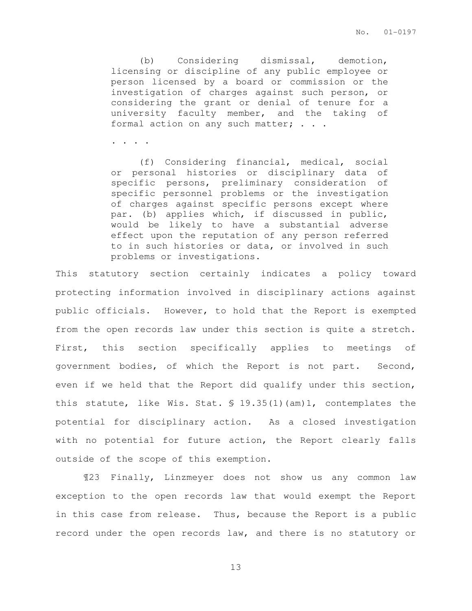(b) Considering dismissal, demotion, licensing or discipline of any public employee or person licensed by a board or commission or the investigation of charges against such person, or considering the grant or denial of tenure for a university faculty member, and the taking of formal action on any such matter; . . .

. . . .

(f) Considering financial, medical, social or personal histories or disciplinary data of specific persons, preliminary consideration of specific personnel problems or the investigation of charges against specific persons except where par. (b) applies which, if discussed in public, would be likely to have a substantial adverse effect upon the reputation of any person referred to in such histories or data, or involved in such problems or investigations.

This statutory section certainly indicates a policy toward protecting information involved in disciplinary actions against public officials. However, to hold that the Report is exempted from the open records law under this section is quite a stretch. First, this section specifically applies to meetings of government bodies, of which the Report is not part. Second, even if we held that the Report did qualify under this section, this statute, like Wis. Stat.  $\text{\$ } 19.35(1)$  (am)1, contemplates the potential for disciplinary action. As a closed investigation with no potential for future action, the Report clearly falls outside of the scope of this exemption.

¶23 Finally, Linzmeyer does not show us any common law exception to the open records law that would exempt the Report in this case from release. Thus, because the Report is a public record under the open records law, and there is no statutory or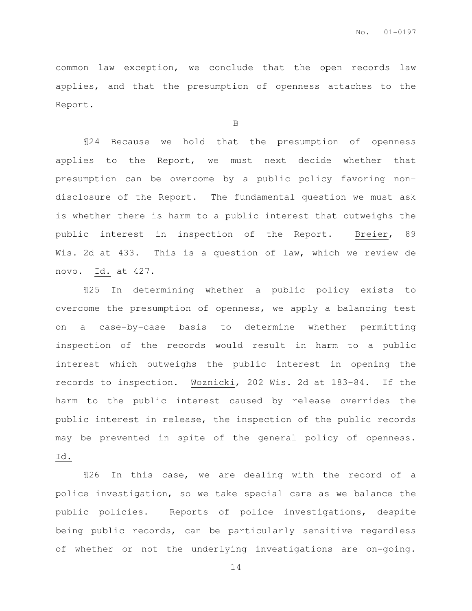common law exception, we conclude that the open records law applies, and that the presumption of openness attaches to the Report.

B

¶24 Because we hold that the presumption of openness applies to the Report, we must next decide whether that presumption can be overcome by a public policy favoring nondisclosure of the Report. The fundamental question we must ask is whether there is harm to a public interest that outweighs the public interest in inspection of the Report. Breier, 89 Wis. 2d at 433. This is a question of law, which we review de novo. Id. at 427.

¶25 In determining whether a public policy exists to overcome the presumption of openness, we apply a balancing test on a case-by-case basis to determine whether permitting inspection of the records would result in harm to a public interest which outweighs the public interest in opening the records to inspection. Woznicki, 202 Wis. 2d at 183-84. If the harm to the public interest caused by release overrides the public interest in release, the inspection of the public records may be prevented in spite of the general policy of openness. Id.

¶26 In this case, we are dealing with the record of a police investigation, so we take special care as we balance the public policies. Reports of police investigations, despite being public records, can be particularly sensitive regardless of whether or not the underlying investigations are on-going.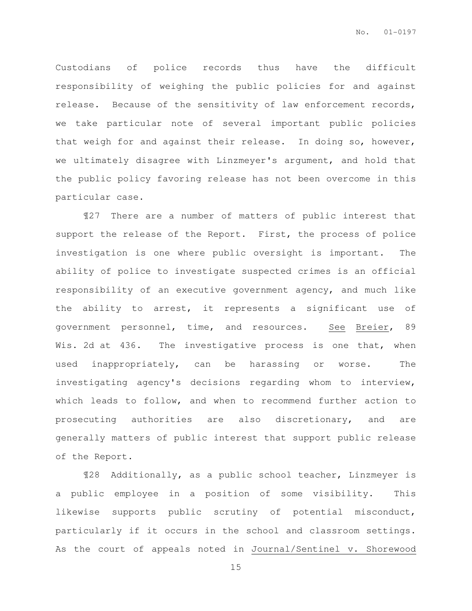Custodians of police records thus have the difficult responsibility of weighing the public policies for and against release. Because of the sensitivity of law enforcement records, we take particular note of several important public policies that weigh for and against their release. In doing so, however, we ultimately disagree with Linzmeyer's argument, and hold that the public policy favoring release has not been overcome in this particular case.

¶27 There are a number of matters of public interest that support the release of the Report. First, the process of police investigation is one where public oversight is important. The ability of police to investigate suspected crimes is an official responsibility of an executive government agency, and much like the ability to arrest, it represents a significant use of government personnel, time, and resources. See Breier, 89 Wis. 2d at 436. The investigative process is one that, when used inappropriately, can be harassing or worse. The investigating agency's decisions regarding whom to interview, which leads to follow, and when to recommend further action to prosecuting authorities are also discretionary, and are generally matters of public interest that support public release of the Report.

¶28 Additionally, as a public school teacher, Linzmeyer is a public employee in a position of some visibility. This likewise supports public scrutiny of potential misconduct, particularly if it occurs in the school and classroom settings. As the court of appeals noted in Journal/Sentinel v. Shorewood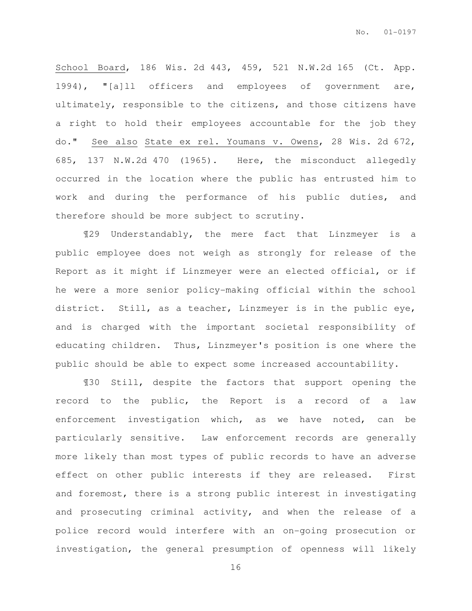School Board, 186 Wis. 2d 443, 459, 521 N.W.2d 165 (Ct. App. 1994), "[a]ll officers and employees of government are, ultimately, responsible to the citizens, and those citizens have a right to hold their employees accountable for the job they do." See also State ex rel. Youmans v. Owens, 28 Wis. 2d 672, 685, 137 N.W.2d 470 (1965). Here, the misconduct allegedly occurred in the location where the public has entrusted him to work and during the performance of his public duties, and therefore should be more subject to scrutiny.

¶29 Understandably, the mere fact that Linzmeyer is a public employee does not weigh as strongly for release of the Report as it might if Linzmeyer were an elected official, or if he were a more senior policy-making official within the school district. Still, as a teacher, Linzmeyer is in the public eye, and is charged with the important societal responsibility of educating children. Thus, Linzmeyer's position is one where the public should be able to expect some increased accountability.

¶30 Still, despite the factors that support opening the record to the public, the Report is a record of a law enforcement investigation which, as we have noted, can be particularly sensitive. Law enforcement records are generally more likely than most types of public records to have an adverse effect on other public interests if they are released. First and foremost, there is a strong public interest in investigating and prosecuting criminal activity, and when the release of a police record would interfere with an on-going prosecution or investigation, the general presumption of openness will likely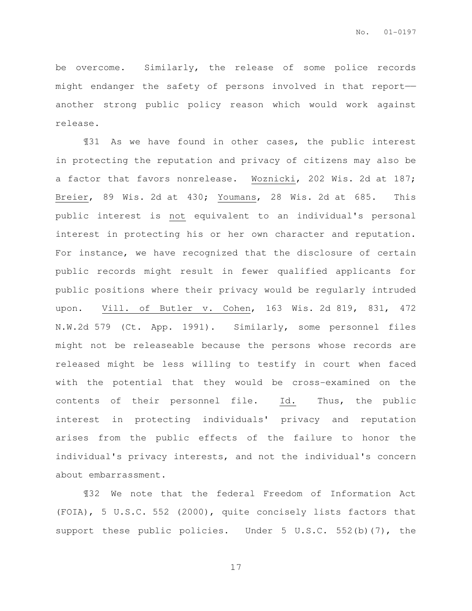be overcome. Similarly, the release of some police records might endanger the safety of persons involved in that report— another strong public policy reason which would work against release.

¶31 As we have found in other cases, the public interest in protecting the reputation and privacy of citizens may also be a factor that favors nonrelease. Woznicki, 202 Wis. 2d at 187; Breier, 89 Wis. 2d at 430; Youmans, 28 Wis. 2d at 685. This public interest is not equivalent to an individual's personal interest in protecting his or her own character and reputation. For instance, we have recognized that the disclosure of certain public records might result in fewer qualified applicants for public positions where their privacy would be regularly intruded upon. Vill. of Butler v. Cohen, 163 Wis. 2d 819, 831, 472 N.W.2d 579 (Ct. App. 1991). Similarly, some personnel files might not be releaseable because the persons whose records are released might be less willing to testify in court when faced with the potential that they would be cross-examined on the contents of their personnel file. Id. Thus, the public interest in protecting individuals' privacy and reputation arises from the public effects of the failure to honor the individual's privacy interests, and not the individual's concern about embarrassment.

¶32 We note that the federal Freedom of Information Act (FOIA), 5 U.S.C. 552 (2000), quite concisely lists factors that support these public policies. Under 5 U.S.C. 552(b)(7), the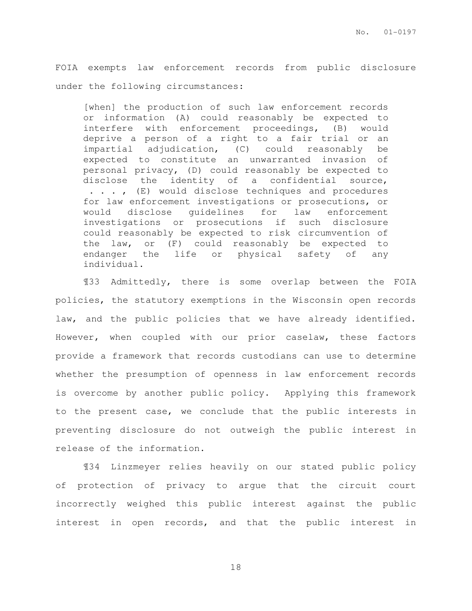FOIA exempts law enforcement records from public disclosure under the following circumstances:

[when] the production of such law enforcement records or information (A) could reasonably be expected to interfere with enforcement proceedings, (B) would deprive a person of a right to a fair trial or an impartial adjudication, (C) could reasonably be expected to constitute an unwarranted invasion of personal privacy, (D) could reasonably be expected to disclose the identity of a confidential source, . . . , (E) would disclose techniques and procedures for law enforcement investigations or prosecutions, or would disclose guidelines for law enforcement investigations or prosecutions if such disclosure could reasonably be expected to risk circumvention of the law, or (F) could reasonably be expected to endanger the life or physical safety of any individual.

¶33 Admittedly, there is some overlap between the FOIA policies, the statutory exemptions in the Wisconsin open records law, and the public policies that we have already identified. However, when coupled with our prior caselaw, these factors provide a framework that records custodians can use to determine whether the presumption of openness in law enforcement records is overcome by another public policy. Applying this framework to the present case, we conclude that the public interests in preventing disclosure do not outweigh the public interest in release of the information.

¶34 Linzmeyer relies heavily on our stated public policy of protection of privacy to argue that the circuit court incorrectly weighed this public interest against the public interest in open records, and that the public interest in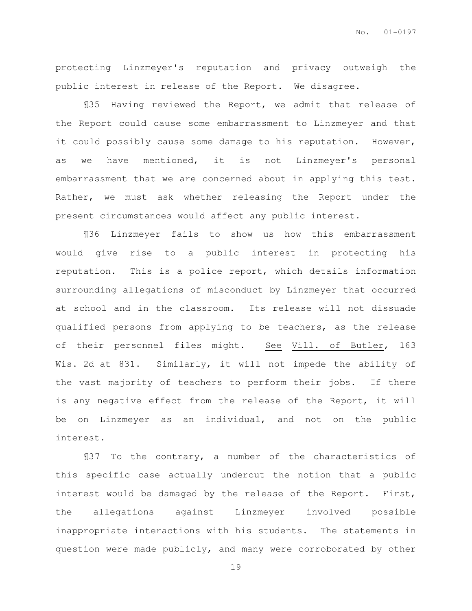protecting Linzmeyer's reputation and privacy outweigh the public interest in release of the Report. We disagree.

¶35 Having reviewed the Report, we admit that release of the Report could cause some embarrassment to Linzmeyer and that it could possibly cause some damage to his reputation. However, as we have mentioned, it is not Linzmeyer's personal embarrassment that we are concerned about in applying this test. Rather, we must ask whether releasing the Report under the present circumstances would affect any public interest.

¶36 Linzmeyer fails to show us how this embarrassment would give rise to a public interest in protecting his reputation. This is a police report, which details information surrounding allegations of misconduct by Linzmeyer that occurred at school and in the classroom. Its release will not dissuade qualified persons from applying to be teachers, as the release of their personnel files might. See Vill. of Butler, 163 Wis. 2d at 831. Similarly, it will not impede the ability of the vast majority of teachers to perform their jobs. If there is any negative effect from the release of the Report, it will be on Linzmeyer as an individual, and not on the public interest.

¶37 To the contrary, a number of the characteristics of this specific case actually undercut the notion that a public interest would be damaged by the release of the Report. First, the allegations against Linzmeyer involved possible inappropriate interactions with his students. The statements in question were made publicly, and many were corroborated by other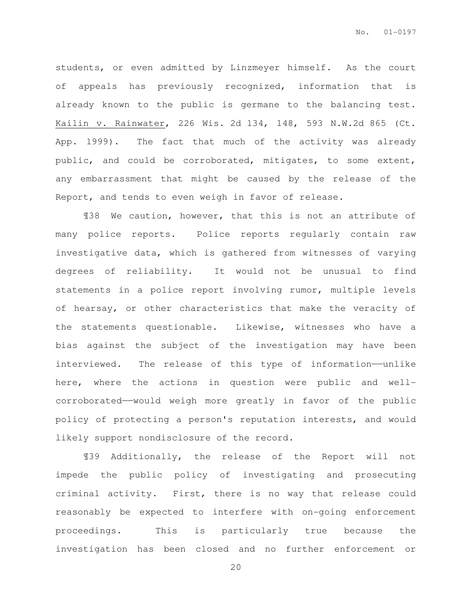students, or even admitted by Linzmeyer himself. As the court of appeals has previously recognized, information that is already known to the public is germane to the balancing test. Kailin v. Rainwater, 226 Wis. 2d 134, 148, 593 N.W.2d 865 (Ct. App. 1999). The fact that much of the activity was already public, and could be corroborated, mitigates, to some extent, any embarrassment that might be caused by the release of the Report, and tends to even weigh in favor of release.

¶38 We caution, however, that this is not an attribute of many police reports. Police reports regularly contain raw investigative data, which is gathered from witnesses of varying degrees of reliability. It would not be unusual to find statements in a police report involving rumor, multiple levels of hearsay, or other characteristics that make the veracity of the statements questionable. Likewise, witnesses who have a bias against the subject of the investigation may have been interviewed. The release of this type of information—unlike here, where the actions in question were public and wellcorroborated——would weigh more greatly in favor of the public policy of protecting a person's reputation interests, and would likely support nondisclosure of the record.

¶39 Additionally, the release of the Report will not impede the public policy of investigating and prosecuting criminal activity. First, there is no way that release could reasonably be expected to interfere with on-going enforcement proceedings. This is particularly true because the investigation has been closed and no further enforcement or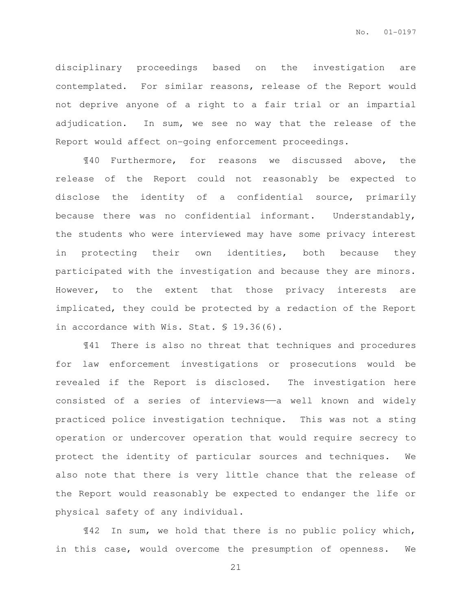disciplinary proceedings based on the investigation are contemplated. For similar reasons, release of the Report would not deprive anyone of a right to a fair trial or an impartial adjudication. In sum, we see no way that the release of the Report would affect on-going enforcement proceedings.

¶40 Furthermore, for reasons we discussed above, the release of the Report could not reasonably be expected to disclose the identity of a confidential source, primarily because there was no confidential informant. Understandably, the students who were interviewed may have some privacy interest in protecting their own identities, both because they participated with the investigation and because they are minors. However, to the extent that those privacy interests are implicated, they could be protected by a redaction of the Report in accordance with Wis. Stat. § 19.36(6).

¶41 There is also no threat that techniques and procedures for law enforcement investigations or prosecutions would be revealed if the Report is disclosed. The investigation here consisted of a series of interviews—a well known and widely practiced police investigation technique. This was not a sting operation or undercover operation that would require secrecy to protect the identity of particular sources and techniques. We also note that there is very little chance that the release of the Report would reasonably be expected to endanger the life or physical safety of any individual.

¶42 In sum, we hold that there is no public policy which, in this case, would overcome the presumption of openness. We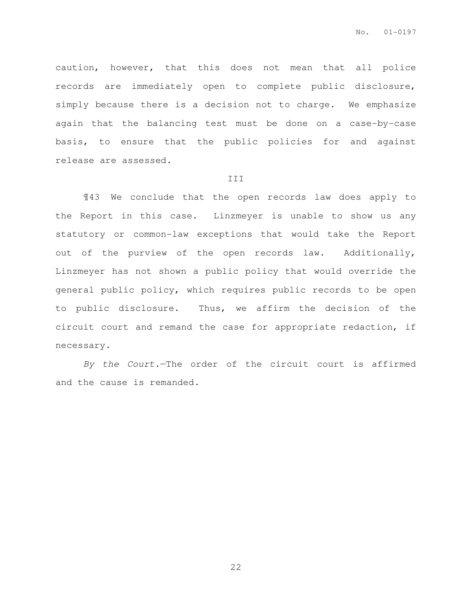caution, however, that this does not mean that all police records are immediately open to complete public disclosure, simply because there is a decision not to charge. We emphasize again that the balancing test must be done on a case-by-case basis, to ensure that the public policies for and against release are assessed.

### III

¶43 We conclude that the open records law does apply to the Report in this case. Linzmeyer is unable to show us any statutory or common-law exceptions that would take the Report out of the purview of the open records law. Additionally, Linzmeyer has not shown a public policy that would override the general public policy, which requires public records to be open to public disclosure. Thus, we affirm the decision of the circuit court and remand the case for appropriate redaction, if necessary.

By the Court.—The order of the circuit court is affirmed and the cause is remanded.